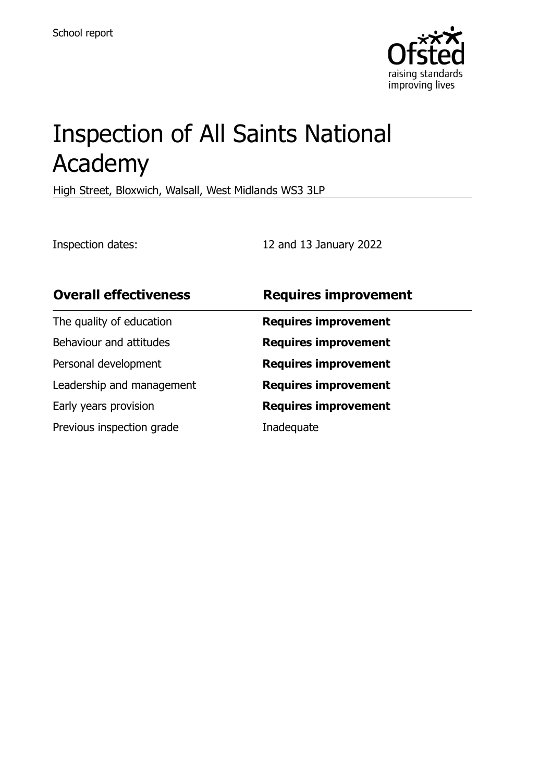

# Inspection of All Saints National Academy

High Street, Bloxwich, Walsall, West Midlands WS3 3LP

Inspection dates: 12 and 13 January 2022

| <b>Overall effectiveness</b> | <b>Requires improvement</b> |
|------------------------------|-----------------------------|
| The quality of education     | <b>Requires improvement</b> |
| Behaviour and attitudes      | <b>Requires improvement</b> |
| Personal development         | <b>Requires improvement</b> |
| Leadership and management    | <b>Requires improvement</b> |
| Early years provision        | <b>Requires improvement</b> |
| Previous inspection grade    | Inadequate                  |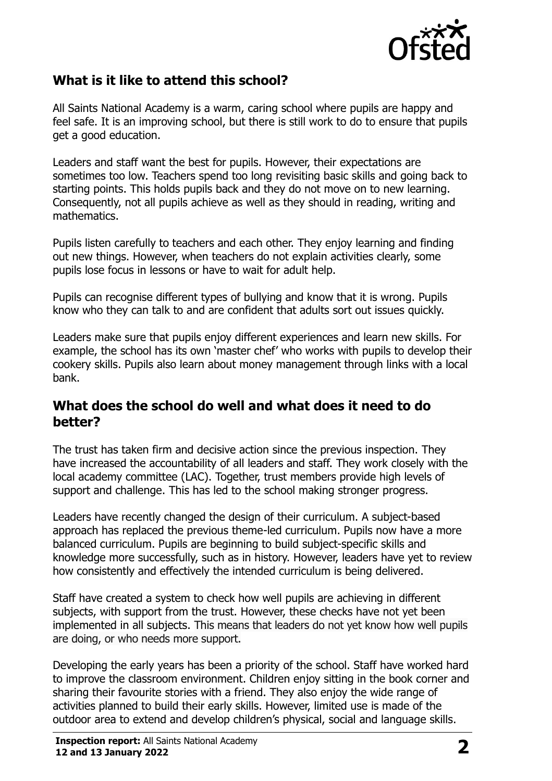

#### **What is it like to attend this school?**

All Saints National Academy is a warm, caring school where pupils are happy and feel safe. It is an improving school, but there is still work to do to ensure that pupils get a good education.

Leaders and staff want the best for pupils. However, their expectations are sometimes too low. Teachers spend too long revisiting basic skills and going back to starting points. This holds pupils back and they do not move on to new learning. Consequently, not all pupils achieve as well as they should in reading, writing and mathematics.

Pupils listen carefully to teachers and each other. They enjoy learning and finding out new things. However, when teachers do not explain activities clearly, some pupils lose focus in lessons or have to wait for adult help.

Pupils can recognise different types of bullying and know that it is wrong. Pupils know who they can talk to and are confident that adults sort out issues quickly.

Leaders make sure that pupils enjoy different experiences and learn new skills. For example, the school has its own 'master chef' who works with pupils to develop their cookery skills. Pupils also learn about money management through links with a local bank.

#### **What does the school do well and what does it need to do better?**

The trust has taken firm and decisive action since the previous inspection. They have increased the accountability of all leaders and staff. They work closely with the local academy committee (LAC). Together, trust members provide high levels of support and challenge. This has led to the school making stronger progress.

Leaders have recently changed the design of their curriculum. A subject-based approach has replaced the previous theme-led curriculum. Pupils now have a more balanced curriculum. Pupils are beginning to build subject-specific skills and knowledge more successfully, such as in history. However, leaders have yet to review how consistently and effectively the intended curriculum is being delivered.

Staff have created a system to check how well pupils are achieving in different subjects, with support from the trust. However, these checks have not yet been implemented in all subjects. This means that leaders do not yet know how well pupils are doing, or who needs more support.

Developing the early years has been a priority of the school. Staff have worked hard to improve the classroom environment. Children enjoy sitting in the book corner and sharing their favourite stories with a friend. They also enjoy the wide range of activities planned to build their early skills. However, limited use is made of the outdoor area to extend and develop children's physical, social and language skills.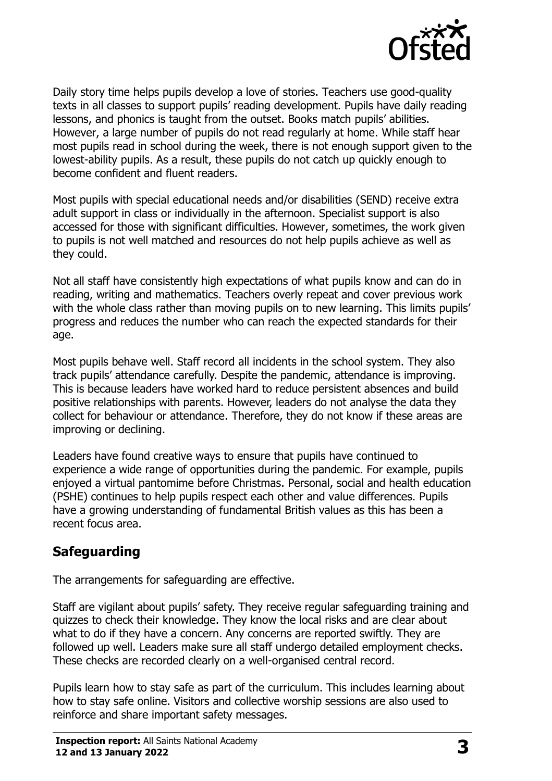

Daily story time helps pupils develop a love of stories. Teachers use good-quality texts in all classes to support pupils' reading development. Pupils have daily reading lessons, and phonics is taught from the outset. Books match pupils' abilities. However, a large number of pupils do not read regularly at home. While staff hear most pupils read in school during the week, there is not enough support given to the lowest-ability pupils. As a result, these pupils do not catch up quickly enough to become confident and fluent readers.

Most pupils with special educational needs and/or disabilities (SEND) receive extra adult support in class or individually in the afternoon. Specialist support is also accessed for those with significant difficulties. However, sometimes, the work given to pupils is not well matched and resources do not help pupils achieve as well as they could.

Not all staff have consistently high expectations of what pupils know and can do in reading, writing and mathematics. Teachers overly repeat and cover previous work with the whole class rather than moving pupils on to new learning. This limits pupils' progress and reduces the number who can reach the expected standards for their age.

Most pupils behave well. Staff record all incidents in the school system. They also track pupils' attendance carefully. Despite the pandemic, attendance is improving. This is because leaders have worked hard to reduce persistent absences and build positive relationships with parents. However, leaders do not analyse the data they collect for behaviour or attendance. Therefore, they do not know if these areas are improving or declining.

Leaders have found creative ways to ensure that pupils have continued to experience a wide range of opportunities during the pandemic. For example, pupils enjoyed a virtual pantomime before Christmas. Personal, social and health education (PSHE) continues to help pupils respect each other and value differences. Pupils have a growing understanding of fundamental British values as this has been a recent focus area.

## **Safeguarding**

The arrangements for safeguarding are effective.

Staff are vigilant about pupils' safety. They receive regular safeguarding training and quizzes to check their knowledge. They know the local risks and are clear about what to do if they have a concern. Any concerns are reported swiftly. They are followed up well. Leaders make sure all staff undergo detailed employment checks. These checks are recorded clearly on a well-organised central record.

Pupils learn how to stay safe as part of the curriculum. This includes learning about how to stay safe online. Visitors and collective worship sessions are also used to reinforce and share important safety messages.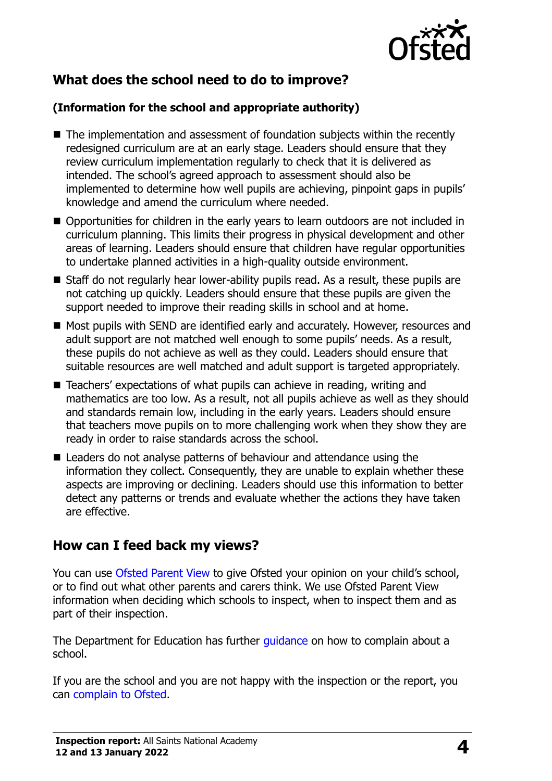

## **What does the school need to do to improve?**

#### **(Information for the school and appropriate authority)**

- The implementation and assessment of foundation subjects within the recently redesigned curriculum are at an early stage. Leaders should ensure that they review curriculum implementation regularly to check that it is delivered as intended. The school's agreed approach to assessment should also be implemented to determine how well pupils are achieving, pinpoint gaps in pupils' knowledge and amend the curriculum where needed.
- Opportunities for children in the early years to learn outdoors are not included in curriculum planning. This limits their progress in physical development and other areas of learning. Leaders should ensure that children have regular opportunities to undertake planned activities in a high-quality outside environment.
- Staff do not regularly hear lower-ability pupils read. As a result, these pupils are not catching up quickly. Leaders should ensure that these pupils are given the support needed to improve their reading skills in school and at home.
- Most pupils with SEND are identified early and accurately. However, resources and adult support are not matched well enough to some pupils' needs. As a result, these pupils do not achieve as well as they could. Leaders should ensure that suitable resources are well matched and adult support is targeted appropriately.
- Teachers' expectations of what pupils can achieve in reading, writing and mathematics are too low. As a result, not all pupils achieve as well as they should and standards remain low, including in the early years. Leaders should ensure that teachers move pupils on to more challenging work when they show they are ready in order to raise standards across the school.
- Leaders do not analyse patterns of behaviour and attendance using the information they collect. Consequently, they are unable to explain whether these aspects are improving or declining. Leaders should use this information to better detect any patterns or trends and evaluate whether the actions they have taken are effective.

## **How can I feed back my views?**

You can use [Ofsted Parent View](http://parentview.ofsted.gov.uk/) to give Ofsted your opinion on your child's school, or to find out what other parents and carers think. We use Ofsted Parent View information when deciding which schools to inspect, when to inspect them and as part of their inspection.

The Department for Education has further quidance on how to complain about a school.

If you are the school and you are not happy with the inspection or the report, you can [complain to Ofsted.](http://www.gov.uk/complain-ofsted-report)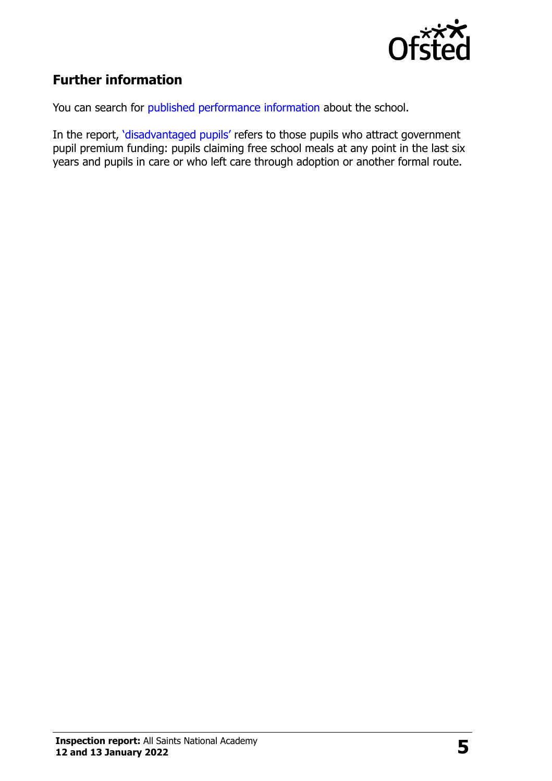

# **Further information**

You can search for [published performance information](http://www.compare-school-performance.service.gov.uk/) about the school.

In the report, '[disadvantaged pupils](http://www.gov.uk/guidance/pupil-premium-information-for-schools-and-alternative-provision-settings)' refers to those pupils who attract government pupil premium funding: pupils claiming free school meals at any point in the last six years and pupils in care or who left care through adoption or another formal route.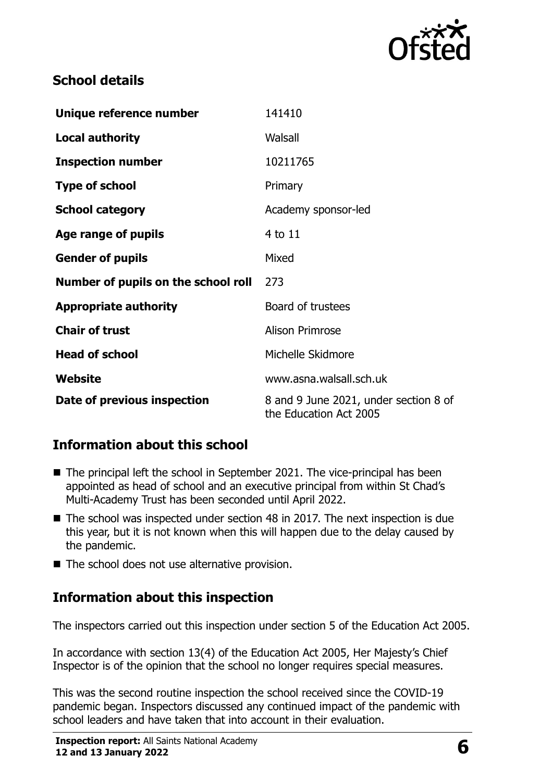

#### **School details**

| Unique reference number             | 141410                                                          |  |
|-------------------------------------|-----------------------------------------------------------------|--|
| <b>Local authority</b>              | Walsall                                                         |  |
| <b>Inspection number</b>            | 10211765                                                        |  |
| <b>Type of school</b>               | Primary                                                         |  |
| <b>School category</b>              | Academy sponsor-led                                             |  |
| Age range of pupils                 | 4 to 11                                                         |  |
| <b>Gender of pupils</b>             | Mixed                                                           |  |
| Number of pupils on the school roll | 273                                                             |  |
| <b>Appropriate authority</b>        | Board of trustees                                               |  |
| <b>Chair of trust</b>               | <b>Alison Primrose</b>                                          |  |
| <b>Head of school</b>               | Michelle Skidmore                                               |  |
| Website                             | www.asna.walsall.sch.uk                                         |  |
| Date of previous inspection         | 8 and 9 June 2021, under section 8 of<br>the Education Act 2005 |  |

## **Information about this school**

- The principal left the school in September 2021. The vice-principal has been appointed as head of school and an executive principal from within St Chad's Multi-Academy Trust has been seconded until April 2022.
- The school was inspected under section 48 in 2017. The next inspection is due this year, but it is not known when this will happen due to the delay caused by the pandemic.
- The school does not use alternative provision.

## **Information about this inspection**

The inspectors carried out this inspection under section 5 of the Education Act 2005.

In accordance with section 13(4) of the Education Act 2005, Her Majesty's Chief Inspector is of the opinion that the school no longer requires special measures.

This was the second routine inspection the school received since the COVID-19 pandemic began. Inspectors discussed any continued impact of the pandemic with school leaders and have taken that into account in their evaluation.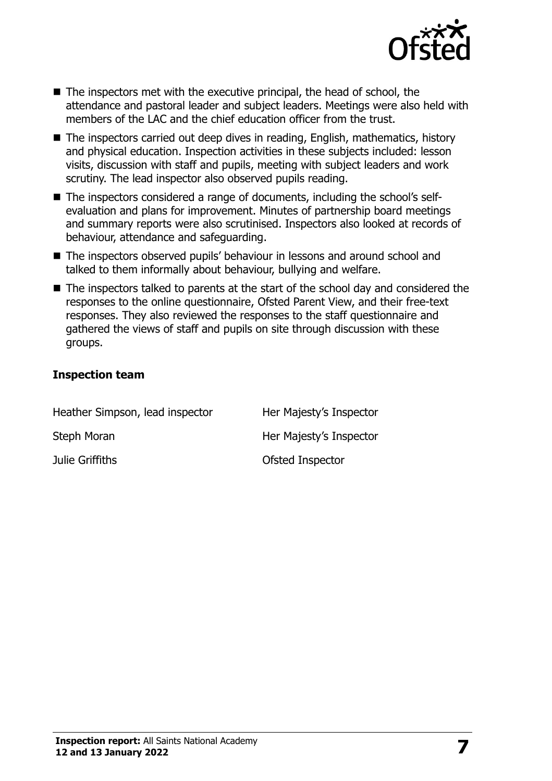

- The inspectors met with the executive principal, the head of school, the attendance and pastoral leader and subject leaders. Meetings were also held with members of the LAC and the chief education officer from the trust.
- The inspectors carried out deep dives in reading, English, mathematics, history and physical education. Inspection activities in these subjects included: lesson visits, discussion with staff and pupils, meeting with subject leaders and work scrutiny. The lead inspector also observed pupils reading.
- The inspectors considered a range of documents, including the school's selfevaluation and plans for improvement. Minutes of partnership board meetings and summary reports were also scrutinised. Inspectors also looked at records of behaviour, attendance and safeguarding.
- The inspectors observed pupils' behaviour in lessons and around school and talked to them informally about behaviour, bullying and welfare.
- The inspectors talked to parents at the start of the school day and considered the responses to the online questionnaire, Ofsted Parent View, and their free-text responses. They also reviewed the responses to the staff questionnaire and gathered the views of staff and pupils on site through discussion with these groups.

#### **Inspection team**

| Heather Simpson, lead inspector | Her Majesty's Inspector |
|---------------------------------|-------------------------|
| Steph Moran                     | Her Majesty's Inspector |
| Julie Griffiths                 | Ofsted Inspector        |